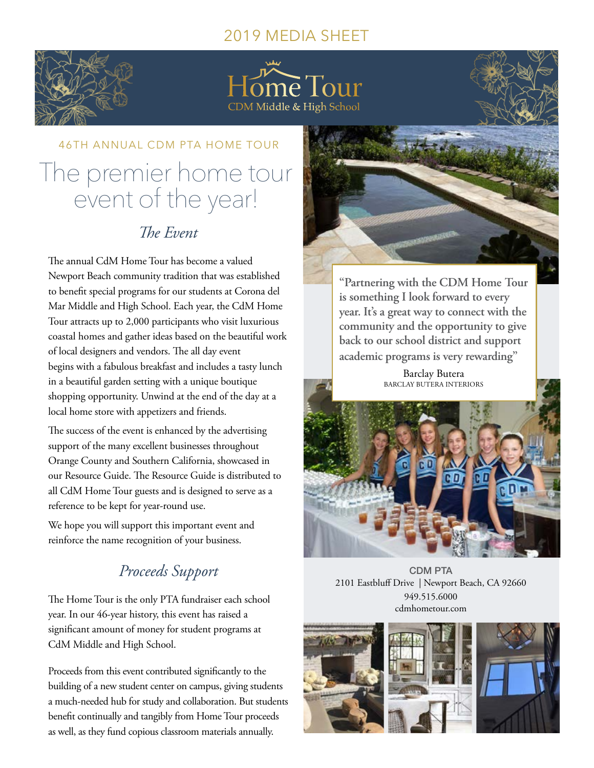### 2019 MEDIA SHEET



ome Tour CDM Middle & High School

## 46TH ANNUAL CDM PTA HOME TOUR The premier home tour event of the year!

## *The Event*

The annual CdM Home Tour has become a valued Newport Beach community tradition that was established to benefit special programs for our students at Corona del Mar Middle and High School. Each year, the CdM Home Tour attracts up to 2,000 participants who visit luxurious coastal homes and gather ideas based on the beautiful work of local designers and vendors. The all day event begins with a fabulous breakfast and includes a tasty lunch in a beautiful garden setting with a unique boutique shopping opportunity. Unwind at the end of the day at a local home store with appetizers and friends.

The success of the event is enhanced by the advertising support of the many excellent businesses throughout Orange County and Southern California, showcased in our Resource Guide. The Resource Guide is distributed to all CdM Home Tour guests and is designed to serve as a reference to be kept for year-round use.

We hope you will support this important event and reinforce the name recognition of your business.

## *Proceeds Support*

The Home Tour is the only PTA fundraiser each school year. In our 46-year history, this event has raised a significant amount of money for student programs at CdM Middle and High School.

Proceeds from this event contributed significantly to the building of a new student center on campus, giving students a much-needed hub for study and collaboration. But students benefit continually and tangibly from Home Tour proceeds as well, as they fund copious classroom materials annually.



**"Partnering with the CDM Home Tour is something I look forward to every year. It's a great way to connect with the community and the opportunity to give back to our school district and support academic programs is very rewarding"**

> Barclay Butera BARCLAY BUTERA INTERIORS



CDM PTA 2101 Eastbluff Drive | Newport Beach, CA 92660 949.515.6000 cdmhometour.com